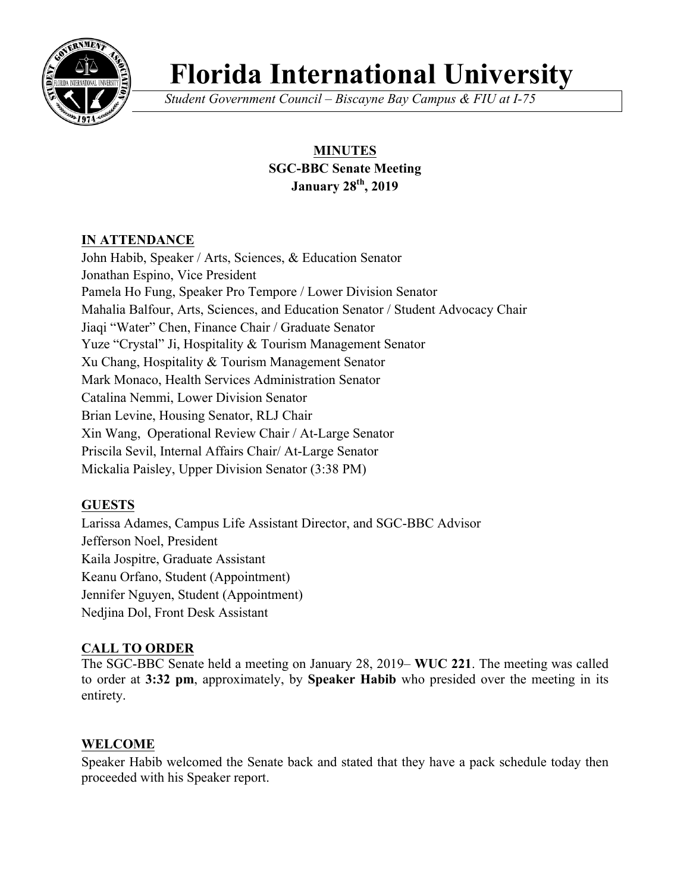

# **Florida International University**

*Student Government Council – Biscayne Bay Campus & FIU at I-75*

# **MINUTES SGC-BBC Senate Meeting January 28th, 2019**

# **IN ATTENDANCE**

John Habib, Speaker / Arts, Sciences, & Education Senator Jonathan Espino, Vice President Pamela Ho Fung, Speaker Pro Tempore / Lower Division Senator Mahalia Balfour, Arts, Sciences, and Education Senator / Student Advocacy Chair Jiaqi "Water" Chen, Finance Chair / Graduate Senator Yuze "Crystal" Ji, Hospitality & Tourism Management Senator Xu Chang, Hospitality & Tourism Management Senator Mark Monaco, Health Services Administration Senator Catalina Nemmi, Lower Division Senator Brian Levine, Housing Senator, RLJ Chair Xin Wang, Operational Review Chair / At-Large Senator Priscila Sevil, Internal Affairs Chair/ At-Large Senator Mickalia Paisley, Upper Division Senator (3:38 PM)

# **GUESTS**

Larissa Adames, Campus Life Assistant Director, and SGC-BBC Advisor Jefferson Noel, President Kaila Jospitre, Graduate Assistant Keanu Orfano, Student (Appointment) Jennifer Nguyen, Student (Appointment) Nedjina Dol, Front Desk Assistant

# **CALL TO ORDER**

The SGC-BBC Senate held a meeting on January 28, 2019– **WUC 221**. The meeting was called to order at **3:32 pm**, approximately, by **Speaker Habib** who presided over the meeting in its entirety.

# **WELCOME**

Speaker Habib welcomed the Senate back and stated that they have a pack schedule today then proceeded with his Speaker report.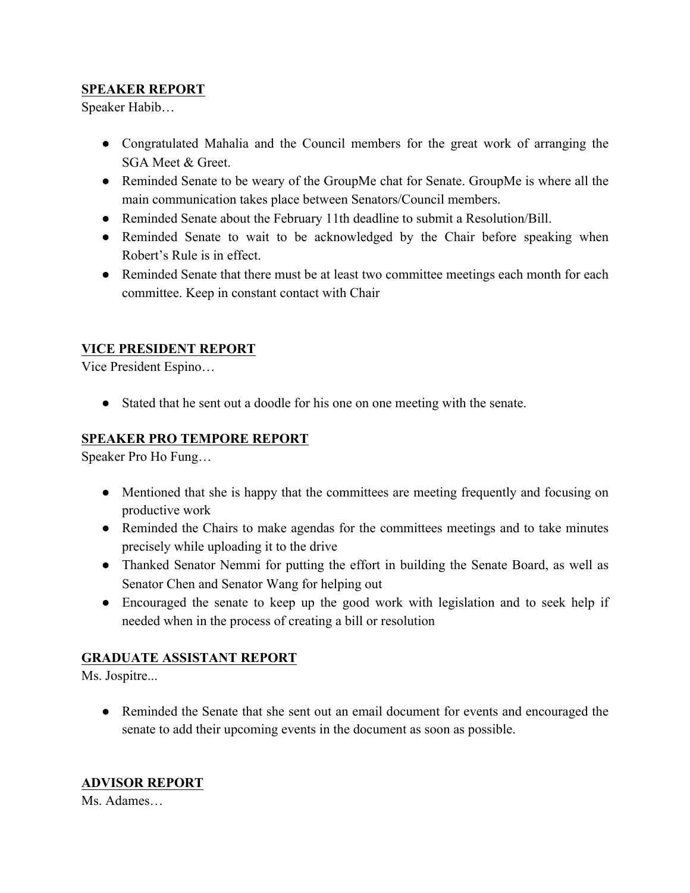#### **SPEAKER REPORT**

Speaker Habib…

- Congratulated Mahalia and the Council members for the great work of arranging the SGA Meet & Greet.
- Reminded Senate to be weary of the GroupMe chat for Senate. GroupMe is where all the main communication takes place between Senators/Council members.
- Reminded Senate about the February 11th deadline to submit a Resolution/Bill.
- Reminded Senate to wait to be acknowledged by the Chair before speaking when Robert's Rule is in effect.
- Reminded Senate that there must be at least two committee meetings each month for each committee. Keep in constant contact with Chair

# **VICE PRESIDENT REPORT**

Vice President Espino…

● Stated that he sent out a doodle for his one on one meeting with the senate.

#### **SPEAKER PRO TEMPORE REPORT**

Speaker Pro Ho Fung…

- Mentioned that she is happy that the committees are meeting frequently and focusing on productive work
- Reminded the Chairs to make agendas for the committees meetings and to take minutes precisely while uploading it to the drive
- Thanked Senator Nemmi for putting the effort in building the Senate Board, as well as Senator Chen and Senator Wang for helping out
- Encouraged the senate to keep up the good work with legislation and to seek help if needed when in the process of creating a bill or resolution

# **GRADUATE ASSISTANT REPORT**

Ms. Jospitre...

• Reminded the Senate that she sent out an email document for events and encouraged the senate to add their upcoming events in the document as soon as possible.

# **ADVISOR REPORT**

Ms. Adames…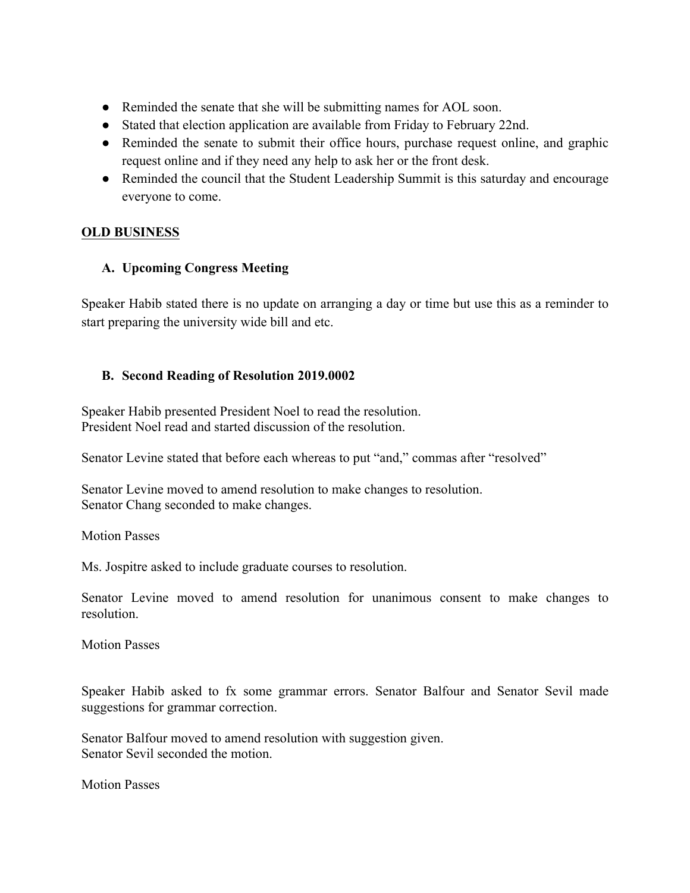- Reminded the senate that she will be submitting names for AOL soon.
- Stated that election application are available from Friday to February 22nd.
- Reminded the senate to submit their office hours, purchase request online, and graphic request online and if they need any help to ask her or the front desk.
- Reminded the council that the Student Leadership Summit is this saturday and encourage everyone to come.

#### **OLD BUSINESS**

#### **A. Upcoming Congress Meeting**

Speaker Habib stated there is no update on arranging a day or time but use this as a reminder to start preparing the university wide bill and etc.

#### **B. Second Reading of Resolution 2019.0002**

Speaker Habib presented President Noel to read the resolution. President Noel read and started discussion of the resolution.

Senator Levine stated that before each whereas to put "and," commas after "resolved"

Senator Levine moved to amend resolution to make changes to resolution. Senator Chang seconded to make changes.

Motion Passes

Ms. Jospitre asked to include graduate courses to resolution.

Senator Levine moved to amend resolution for unanimous consent to make changes to resolution.

Motion Passes

Speaker Habib asked to fx some grammar errors. Senator Balfour and Senator Sevil made suggestions for grammar correction.

Senator Balfour moved to amend resolution with suggestion given. Senator Sevil seconded the motion.

Motion Passes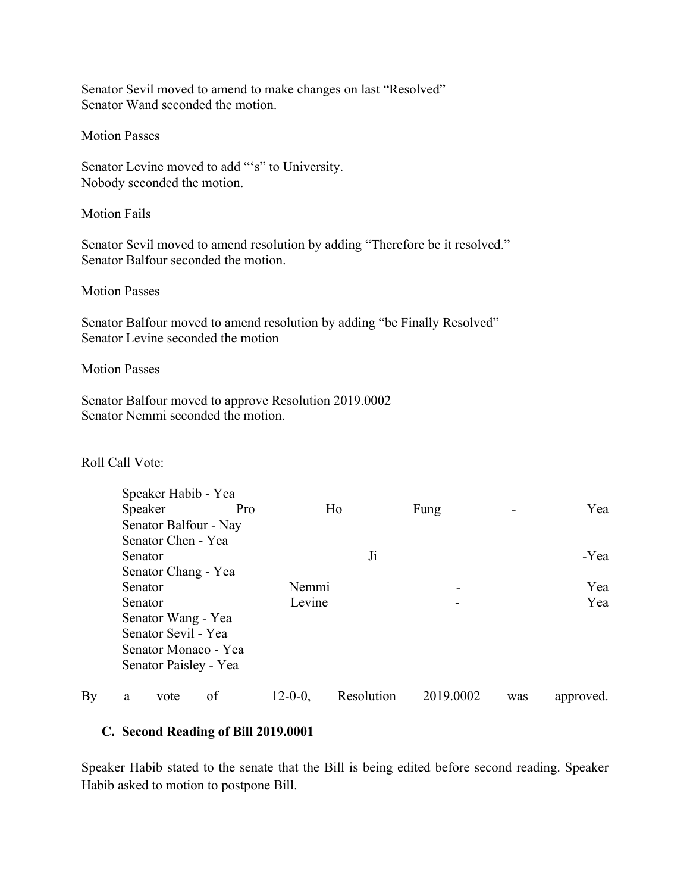Senator Sevil moved to amend to make changes on last "Resolved" Senator Wand seconded the motion.

Motion Passes

Senator Levine moved to add "'s" to University. Nobody seconded the motion.

Motion Fails

Senator Sevil moved to amend resolution by adding "Therefore be it resolved." Senator Balfour seconded the motion.

Motion Passes

Senator Balfour moved to amend resolution by adding "be Finally Resolved" Senator Levine seconded the motion

Motion Passes

Senator Balfour moved to approve Resolution 2019.0002 Senator Nemmi seconded the motion.

#### Roll Call Vote:

|    |         | Speaker Habib - Yea   |                      |                 |            |           |     |           |
|----|---------|-----------------------|----------------------|-----------------|------------|-----------|-----|-----------|
|    |         | Speaker               | Pro                  |                 | Ho         | Fung      |     | Yea       |
|    |         | Senator Balfour - Nay |                      |                 |            |           |     |           |
|    |         | Senator Chen - Yea    |                      |                 |            |           |     |           |
|    | Senator |                       |                      | Ji              |            |           |     | -Yea      |
|    |         | Senator Chang - Yea   |                      |                 |            |           |     |           |
|    |         | Senator               |                      | Nemmi<br>Levine |            |           |     | Yea       |
|    | Senator |                       |                      |                 |            |           |     | Yea       |
|    |         | Senator Wang - Yea    |                      |                 |            |           |     |           |
|    |         | Senator Sevil - Yea   |                      |                 |            |           |     |           |
|    |         |                       | Senator Monaco - Yea |                 |            |           |     |           |
|    |         | Senator Paisley - Yea |                      |                 |            |           |     |           |
| By | a       | vote                  | of                   | $12 - 0 - 0$ .  | Resolution | 2019.0002 | was | approved. |

#### **C. Second Reading of Bill 2019.0001**

Speaker Habib stated to the senate that the Bill is being edited before second reading. Speaker Habib asked to motion to postpone Bill.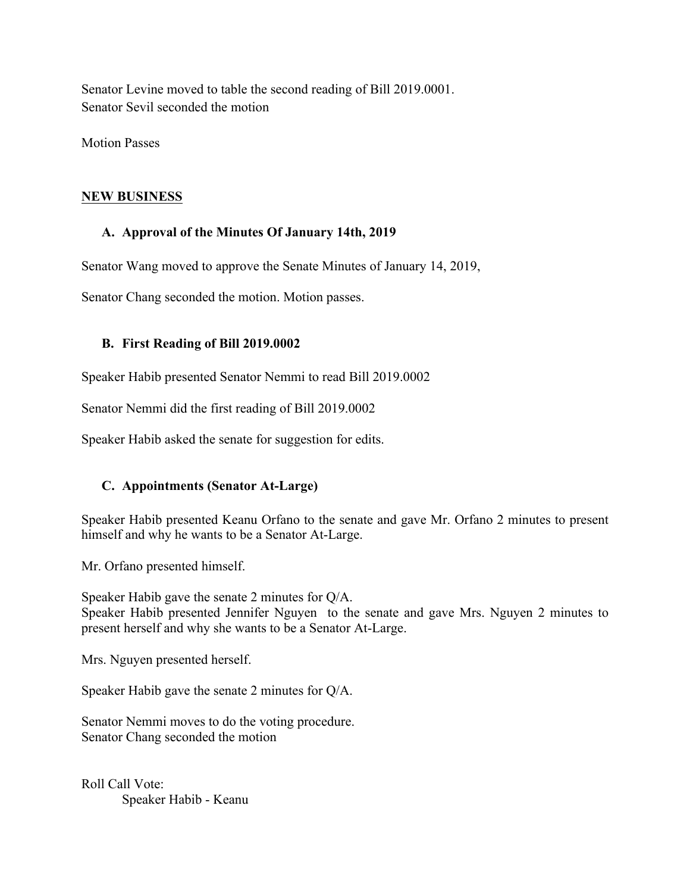Senator Levine moved to table the second reading of Bill 2019.0001. Senator Sevil seconded the motion

Motion Passes

#### **NEW BUSINESS**

#### **A. Approval of the Minutes Of January 14th, 2019**

Senator Wang moved to approve the Senate Minutes of January 14, 2019,

Senator Chang seconded the motion. Motion passes.

#### **B. First Reading of Bill 2019.0002**

Speaker Habib presented Senator Nemmi to read Bill 2019.0002

Senator Nemmi did the first reading of Bill 2019.0002

Speaker Habib asked the senate for suggestion for edits.

# **C. Appointments (Senator At-Large)**

Speaker Habib presented Keanu Orfano to the senate and gave Mr. Orfano 2 minutes to present himself and why he wants to be a Senator At-Large.

Mr. Orfano presented himself.

Speaker Habib gave the senate 2 minutes for Q/A. Speaker Habib presented Jennifer Nguyen to the senate and gave Mrs. Nguyen 2 minutes to present herself and why she wants to be a Senator At-Large.

Mrs. Nguyen presented herself.

Speaker Habib gave the senate 2 minutes for Q/A.

Senator Nemmi moves to do the voting procedure. Senator Chang seconded the motion

Roll Call Vote: Speaker Habib - Keanu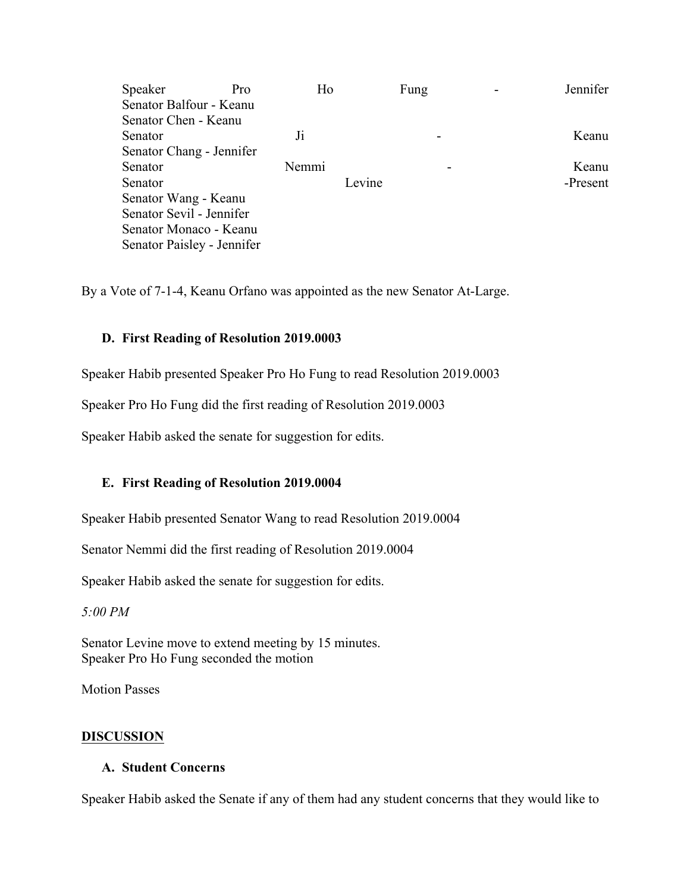| Speaker                    | Pro | Ho    |        | Fung | Jennifer |
|----------------------------|-----|-------|--------|------|----------|
| Senator Balfour - Keanu    |     |       |        |      |          |
| Senator Chen - Keanu       |     |       |        |      |          |
| Senator                    |     | $J_1$ |        |      | Keanu    |
| Senator Chang - Jennifer   |     |       |        |      |          |
| Senator                    |     | Nemmi |        |      | Keanu    |
| Senator                    |     |       | Levine |      | -Present |
| Senator Wang - Keanu       |     |       |        |      |          |
| Senator Sevil - Jennifer   |     |       |        |      |          |
| Senator Monaco - Keanu     |     |       |        |      |          |
| Senator Paisley - Jennifer |     |       |        |      |          |

By a Vote of 7-1-4, Keanu Orfano was appointed as the new Senator At-Large.

#### **D. First Reading of Resolution 2019.0003**

Speaker Habib presented Speaker Pro Ho Fung to read Resolution 2019.0003

Speaker Pro Ho Fung did the first reading of Resolution 2019.0003

Speaker Habib asked the senate for suggestion for edits.

#### **E. First Reading of Resolution 2019.0004**

Speaker Habib presented Senator Wang to read Resolution 2019.0004

Senator Nemmi did the first reading of Resolution 2019.0004

Speaker Habib asked the senate for suggestion for edits.

*5:00 PM*

Senator Levine move to extend meeting by 15 minutes. Speaker Pro Ho Fung seconded the motion

Motion Passes

#### **DISCUSSION**

#### **A. Student Concerns**

Speaker Habib asked the Senate if any of them had any student concerns that they would like to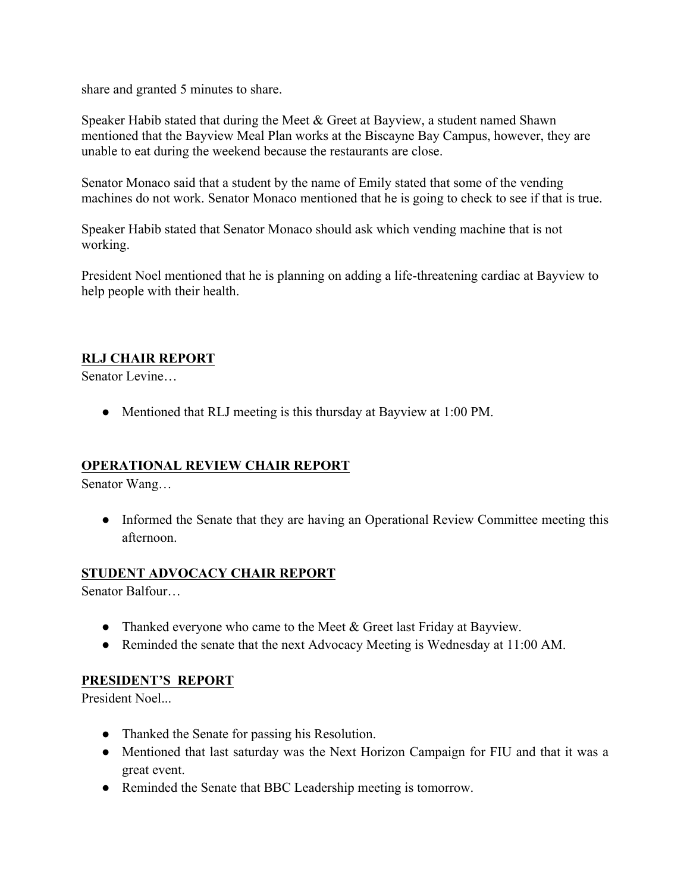share and granted 5 minutes to share.

Speaker Habib stated that during the Meet & Greet at Bayview, a student named Shawn mentioned that the Bayview Meal Plan works at the Biscayne Bay Campus, however, they are unable to eat during the weekend because the restaurants are close.

Senator Monaco said that a student by the name of Emily stated that some of the vending machines do not work. Senator Monaco mentioned that he is going to check to see if that is true.

Speaker Habib stated that Senator Monaco should ask which vending machine that is not working.

President Noel mentioned that he is planning on adding a life-threatening cardiac at Bayview to help people with their health.

#### **RLJ CHAIR REPORT**

Senator Levine…

• Mentioned that RLJ meeting is this thursday at Bayview at 1:00 PM.

#### **OPERATIONAL REVIEW CHAIR REPORT**

Senator Wang…

• Informed the Senate that they are having an Operational Review Committee meeting this afternoon.

#### **STUDENT ADVOCACY CHAIR REPORT**

Senator Balfour…

- Thanked everyone who came to the Meet & Greet last Friday at Bayview.
- Reminded the senate that the next Advocacy Meeting is Wednesday at 11:00 AM.

#### **PRESIDENT'S REPORT**

President Noel...

- Thanked the Senate for passing his Resolution.
- Mentioned that last saturday was the Next Horizon Campaign for FIU and that it was a great event.
- Reminded the Senate that BBC Leadership meeting is tomorrow.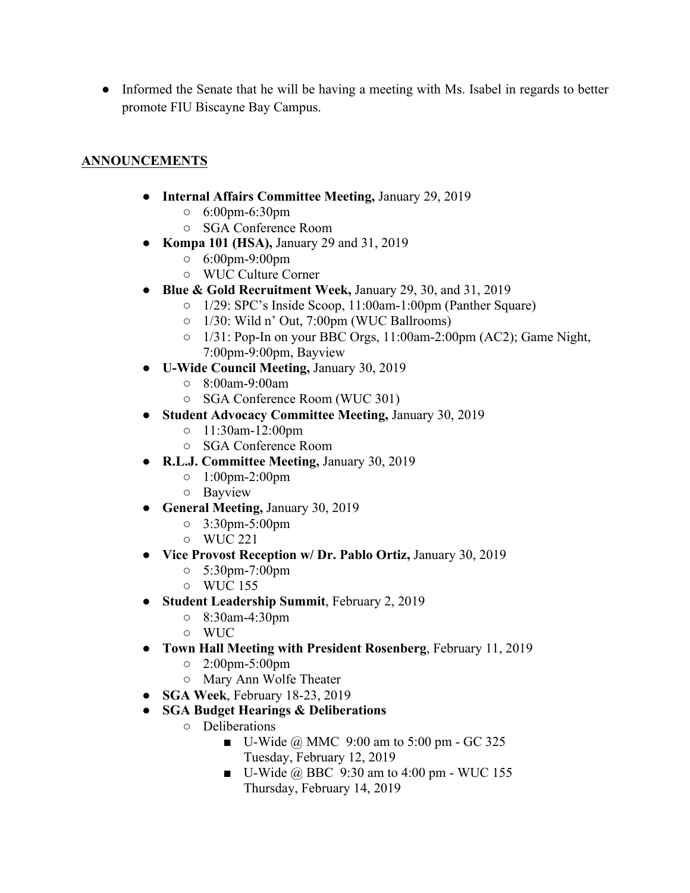• Informed the Senate that he will be having a meeting with Ms. Isabel in regards to better promote FIU Biscayne Bay Campus.

# **ANNOUNCEMENTS**

- **Internal Affairs Committee Meeting,** January 29, 2019
	- 6:00pm-6:30pm
	- SGA Conference Room
- **Kompa 101 (HSA),** January 29 and 31, 2019
	- 6:00pm-9:00pm
	- WUC Culture Corner
- **Blue & Gold Recruitment Week,** January 29, 30, and 31, 2019
	- 1/29: SPC's Inside Scoop, 11:00am-1:00pm (Panther Square)
	- 1/30: Wild n' Out, 7:00pm (WUC Ballrooms)
	- 1/31: Pop-In on your BBC Orgs, 11:00am-2:00pm (AC2); Game Night, 7:00pm-9:00pm, Bayview
- **U-Wide Council Meeting,** January 30, 2019
	- 8:00am-9:00am
	- SGA Conference Room (WUC 301)
- **Student Advocacy Committee Meeting,** January 30, 2019
	- 11:30am-12:00pm
	- SGA Conference Room
- **R.L.J. Committee Meeting,** January 30, 2019
	- 1:00pm-2:00pm
	- Bayview
- **General Meeting,** January 30, 2019
	- 3:30pm-5:00pm
	- WUC 221
- **Vice Provost Reception w/ Dr. Pablo Ortiz,** January 30, 2019
	- 5:30pm-7:00pm
	- WUC 155
- **Student Leadership Summit**, February 2, 2019
	- 8:30am-4:30pm
	- WUC
- **Town Hall Meeting with President Rosenberg**, February 11, 2019
	- 2:00pm-5:00pm
	- Mary Ann Wolfe Theater
- **SGA Week**, February 18-23, 2019
- **SGA Budget Hearings & Deliberations**
	- Deliberations
		- $\blacksquare$  U-Wide @ MMC 9:00 am to 5:00 pm GC 325 Tuesday, February 12, 2019
		- $\blacksquare$  U-Wide @ BBC 9:30 am to 4:00 pm WUC 155 Thursday, February 14, 2019